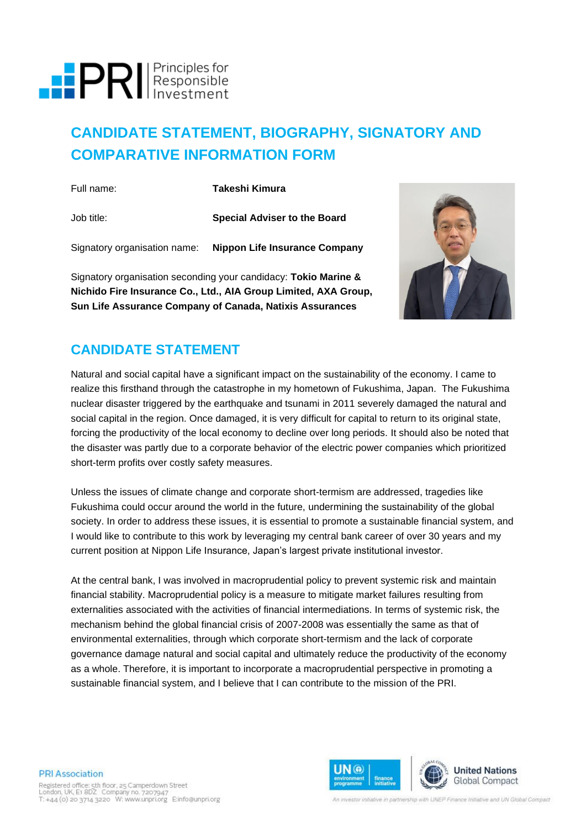

# **CANDIDATE STATEMENT, BIOGRAPHY, SIGNATORY AND COMPARATIVE INFORMATION FORM**

| Full name: | Takeshi Kimura                                             |
|------------|------------------------------------------------------------|
| Job title: | <b>Special Adviser to the Board</b>                        |
|            | Signatory organisation name: Nippon Life Insurance Company |
|            |                                                            |

Signatory organisation seconding your candidacy: **Tokio Marine & Nichido Fire Insurance Co., Ltd., AIA Group Limited, AXA Group, Sun Life Assurance Company of Canada, Natixis Assurances**



# **CANDIDATE STATEMENT**

Natural and social capital have a significant impact on the sustainability of the economy. I came to realize this firsthand through the catastrophe in my hometown of Fukushima, Japan. The Fukushima nuclear disaster triggered by the earthquake and tsunami in 2011 severely damaged the natural and social capital in the region. Once damaged, it is very difficult for capital to return to its original state, forcing the productivity of the local economy to decline over long periods. It should also be noted that the disaster was partly due to a corporate behavior of the electric power companies which prioritized short-term profits over costly safety measures.

Unless the issues of climate change and corporate short-termism are addressed, tragedies like Fukushima could occur around the world in the future, undermining the sustainability of the global society. In order to address these issues, it is essential to promote a sustainable financial system, and I would like to contribute to this work by leveraging my central bank career of over 30 years and my current position at Nippon Life Insurance, Japan's largest private institutional investor.

At the central bank, I was involved in macroprudential policy to prevent systemic risk and maintain financial stability. Macroprudential policy is a measure to mitigate market failures resulting from externalities associated with the activities of financial intermediations. In terms of systemic risk, the mechanism behind the global financial crisis of 2007-2008 was essentially the same as that of environmental externalities, through which corporate short-termism and the lack of corporate governance damage natural and social capital and ultimately reduce the productivity of the economy as a whole. Therefore, it is important to incorporate a macroprudential perspective in promoting a sustainable financial system, and I believe that I can contribute to the mission of the PRI.

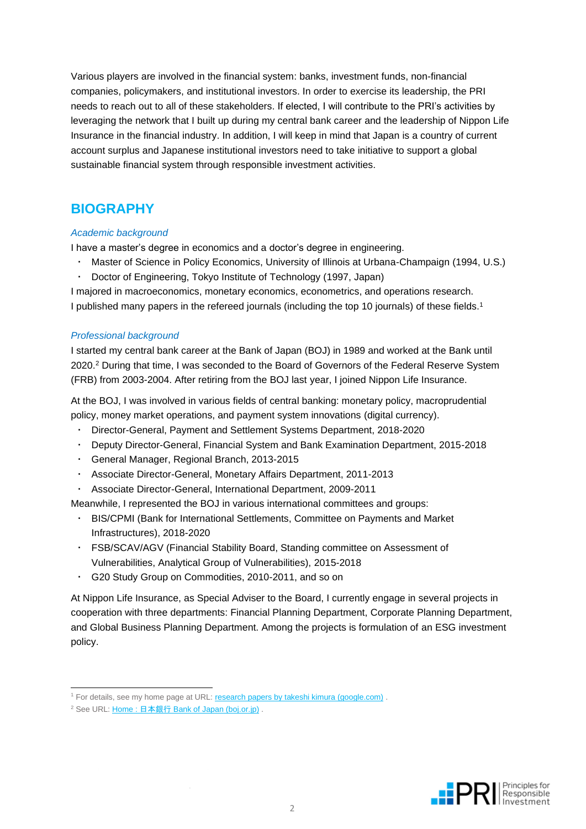Various players are involved in the financial system: banks, investment funds, non-financial companies, policymakers, and institutional investors. In order to exercise its leadership, the PRI needs to reach out to all of these stakeholders. If elected, I will contribute to the PRI's activities by leveraging the network that I built up during my central bank career and the leadership of Nippon Life Insurance in the financial industry. In addition, I will keep in mind that Japan is a country of current account surplus and Japanese institutional investors need to take initiative to support a global sustainable financial system through responsible investment activities.

## **BIOGRAPHY**

## *Academic background*

I have a master's degree in economics and a doctor's degree in engineering.

- Master of Science in Policy Economics, University of Illinois at Urbana-Champaign (1994, U.S.)
- Doctor of Engineering, Tokyo Institute of Technology (1997, Japan)

I majored in macroeconomics, monetary economics, econometrics, and operations research. I published many papers in the refereed journals (including the top 10 journals) of these fields.<sup>1</sup>

## *Professional background*

I started my central bank career at the Bank of Japan (BOJ) in 1989 and worked at the Bank until 2020. <sup>2</sup> During that time, I was seconded to the Board of Governors of the Federal Reserve System (FRB) from 2003-2004. After retiring from the BOJ last year, I joined Nippon Life Insurance.

At the BOJ, I was involved in various fields of central banking: monetary policy, macroprudential policy, money market operations, and payment system innovations (digital currency).

- Director-General, Payment and Settlement Systems Department, 2018-2020
- Deputy Director-General, Financial System and Bank Examination Department, 2015-2018
- General Manager, Regional Branch, 2013-2015
- Associate Director-General, Monetary Affairs Department, 2011-2013
- Associate Director-General, International Department, 2009-2011

Meanwhile, I represented the BOJ in various international committees and groups:

- BIS/CPMI (Bank for International Settlements, Committee on Payments and Market Infrastructures), 2018-2020
- FSB/SCAV/AGV (Financial Stability Board, Standing committee on Assessment of Vulnerabilities, Analytical Group of Vulnerabilities), 2015-2018
- G20 Study Group on Commodities, 2010-2011, and so on

At Nippon Life Insurance, as Special Adviser to the Board, I currently engage in several projects in cooperation with three departments: Financial Planning Department, Corporate Planning Department, and Global Business Planning Department. Among the projects is formulation of an ESG investment policy.



<sup>&</sup>lt;sup>1</sup> For details, see my home page at URL[: research papers by takeshi kimura \(google.com\)](https://sites.google.com/site/researchpapersbytakeshikimura/).

<sup>2</sup> See URL: Home : 日本銀行 [Bank of Japan \(boj.or.jp\)](https://www.boj.or.jp/en/index.htm/) .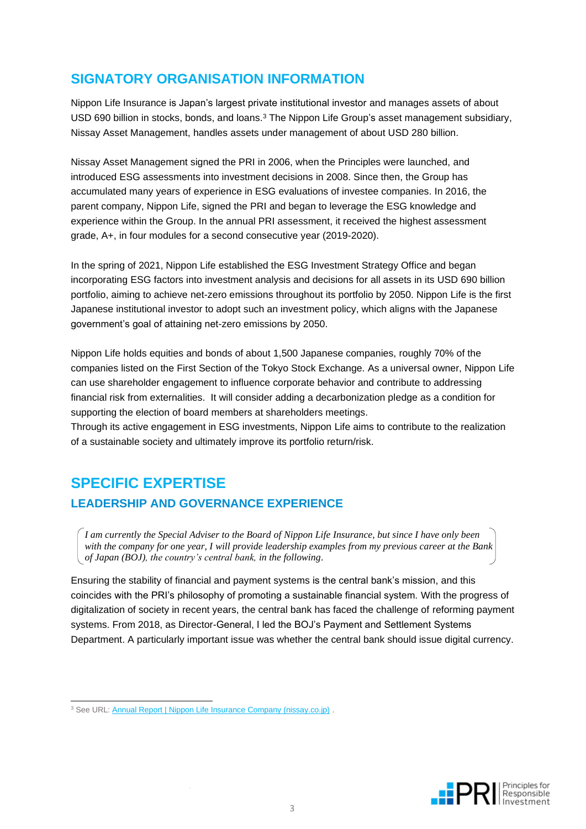# **SIGNATORY ORGANISATION INFORMATION**

Nippon Life Insurance is Japan's largest private institutional investor and manages assets of about USD 690 billion in stocks, bonds, and loans.<sup>3</sup> The Nippon Life Group's asset management subsidiary, Nissay Asset Management, handles assets under management of about USD 280 billion.

Nissay Asset Management signed the PRI in 2006, when the Principles were launched, and introduced ESG assessments into investment decisions in 2008. Since then, the Group has accumulated many years of experience in ESG evaluations of investee companies. In 2016, the parent company, Nippon Life, signed the PRI and began to leverage the ESG knowledge and experience within the Group. In the annual PRI assessment, it received the highest assessment grade, A+, in four modules for a second consecutive year (2019-2020).

In the spring of 2021, Nippon Life established the ESG Investment Strategy Office and began incorporating ESG factors into investment analysis and decisions for all assets in its USD 690 billion portfolio, aiming to achieve net-zero emissions throughout its portfolio by 2050. Nippon Life is the first Japanese institutional investor to adopt such an investment policy, which aligns with the Japanese government's goal of attaining net-zero emissions by 2050.

Nippon Life holds equities and bonds of about 1,500 Japanese companies, roughly 70% of the companies listed on the First Section of the Tokyo Stock Exchange. As a universal owner, Nippon Life can use shareholder engagement to influence corporate behavior and contribute to addressing financial risk from externalities. It will consider adding a decarbonization pledge as a condition for supporting the election of board members at shareholders meetings.

Through its active engagement in ESG investments, Nippon Life aims to contribute to the realization of a sustainable society and ultimately improve its portfolio return/risk.

# **SPECIFIC EXPERTISE**

## **LEADERSHIP AND GOVERNANCE EXPERIENCE**

*I am currently the Special Adviser to the Board of Nippon Life Insurance, but since I have only been with the company for one year, I will provide leadership examples from my previous career at the Bank of Japan (BOJ), the country's central bank, in the following*.

Ensuring the stability of financial and payment systems is the central bank's mission, and this coincides with the PRI's philosophy of promoting a sustainable financial system. With the progress of digitalization of society in recent years, the central bank has faced the challenge of reforming payment systems. From 2018, as Director-General, I led the BOJ's Payment and Settlement Systems Department. A particularly important issue was whether the central bank should issue digital currency.



<sup>&</sup>lt;sup>3</sup> See URL: [Annual Report | Nippon Life Insurance Company \(nissay.co.jp\)](https://www.nissay.co.jp/english/annual/2020.html) .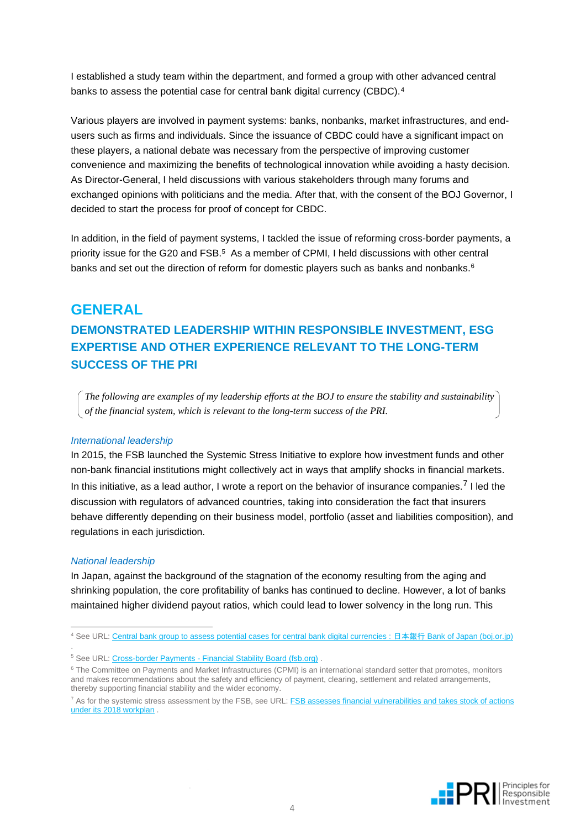I established a study team within the department, and formed a group with other advanced central banks to assess the potential case for central bank digital currency (CBDC).<sup>4</sup>

Various players are involved in payment systems: banks, nonbanks, market infrastructures, and endusers such as firms and individuals. Since the issuance of CBDC could have a significant impact on these players, a national debate was necessary from the perspective of improving customer convenience and maximizing the benefits of technological innovation while avoiding a hasty decision. As Director-General, I held discussions with various stakeholders through many forums and exchanged opinions with politicians and the media. After that, with the consent of the BOJ Governor, I decided to start the process for proof of concept for CBDC.

In addition, in the field of payment systems, I tackled the issue of reforming cross-border payments, a priority issue for the G20 and FSB.<sup>5</sup> As a member of CPMI, I held discussions with other central banks and set out the direction of reform for domestic players such as banks and nonbanks.<sup>6</sup>

## **GENERAL**

# **DEMONSTRATED LEADERSHIP WITHIN RESPONSIBLE INVESTMENT, ESG EXPERTISE AND OTHER EXPERIENCE RELEVANT TO THE LONG-TERM SUCCESS OF THE PRI**

*The following are examples of my leadership efforts at the BOJ to ensure the stability and sustainability of the financial system, which is relevant to the long-term success of the PRI.*

#### *International leadership*

In 2015, the FSB launched the Systemic Stress Initiative to explore how investment funds and other non-bank financial institutions might collectively act in ways that amplify shocks in financial markets. In this initiative, as a lead author, I wrote a report on the behavior of insurance companies.<sup>7</sup> I led the discussion with regulators of advanced countries, taking into consideration the fact that insurers behave differently depending on their business model, portfolio (asset and liabilities composition), and regulations in each jurisdiction.

#### *National leadership*

.

In Japan, against the background of the stagnation of the economy resulting from the aging and shrinking population, the core profitability of banks has continued to decline. However, a lot of banks maintained higher dividend payout ratios, which could lead to lower solvency in the long run. This



<sup>4</sup> See URL: [Central bank group to assess potential cases for central bank digital currencies :](https://www.boj.or.jp/en/announcements/release_2020/rel200121a.htm/) 日本銀行 Bank of Japan (boj.or.jp)

<sup>&</sup>lt;sup>5</sup> See URL: Cross-border Payments - [Financial Stability Board \(fsb.org\)](https://www.fsb.org/work-of-the-fsb/financial-innovation-and-structural-change/cross-border-payments/)

<sup>&</sup>lt;sup>6</sup> The Committee on Payments and Market Infrastructures (CPMI) is an international standard setter that promotes, monitors and makes recommendations about the safety and efficiency of payment, clearing, settlement and related arrangements, thereby supporting financial stability and the wider economy.

<sup>7</sup> As for the systemic stress assessment by the FSB, see URL: [FSB assesses financial vulnerabilities and takes stock of actions](https://www.fsb.org/wp-content/uploads/R250618.pdf)  [under its 2018 workplan](https://www.fsb.org/wp-content/uploads/R250618.pdf) .